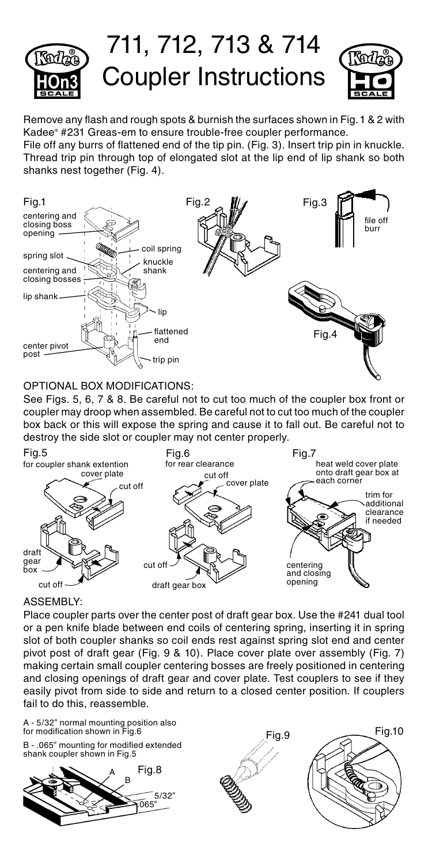

Remove any flash and rough spots & burnish the surfaces shown in Fig.1 & 2 with Kadee® #231 Greas-em to ensure trouble-free coupler performance.

File off any burrs of flattened end of the tip pin. (Fig. 3). Insert trip pin in knuckle. Thread trip pin through top of elongated slot at the lip end of lip shank so both shanks nest together (Fig. 4).



## OPTIONAL BOX MODIFICATIONS:

See Figs. 5, 6, 7 & 8. Be careful not to cut too much of the coupler box front or coupler may droop when assembled. Be careful not to cut too much of the coupler box back or this will expose the spring and cause it to fall out. Be careful not to destroy the side slot or coupler may not center properly.



## ASSEMBLY:

Place coupler parts over the center post of draft gear box. Use the #241 dual tool or a pen knife blade between end coils of centering spring, inserting it in spring slot of both coupler shanks so coil ends rest against spring slot end and center pivot post of draft gear (Fig. 9 & 10). Place cover plate over assembly (Fig. 7) making certain small coupler centering bosses are freely positioned in centering and closing openings of draft gear and cover plate. Test couplers to see if they easily pivot from side to side and return to a closed center position. If couplers fail to do this, reassemble.

B - .065" mounting for modified extended shank coupler shown in Fig.5